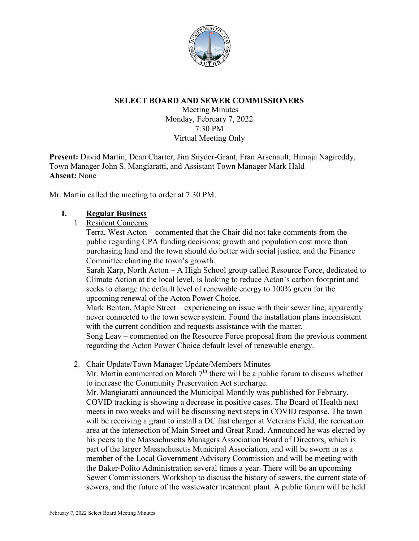

## **SELECT BOARD AND SEWER COMMISSIONERS**

Meeting Minutes Monday, February 7, 2022 7:30 PM Virtual Meeting Only

**Present:** David Martin, Dean Charter, Jim Snyder-Grant, Fran Arsenault, Himaja Nagireddy, Town Manager John S. Mangiaratti, and Assistant Town Manager Mark Hald **Absent:** None

Mr. Martin called the meeting to order at 7:30 PM.

#### **I. Regular Business**

1. Resident Concerns

Terra, West Acton – commented that the Chair did not take comments from the public regarding CPA funding decisions; growth and population cost more than purchasing land and the town should do better with social justice, and the Finance Committee charting the town's growth.

Sarah Karp, North Acton – A High School group called Resource Force, dedicated to Climate Action at the local level, is looking to reduce Acton's carbon footprint and seeks to change the default level of renewable energy to 100% green for the upcoming renewal of the Acton Power Choice.

Mark Benton, Maple Street – experiencing an issue with their sewer line, apparently never connected to the town sewer system. Found the installation plans inconsistent with the current condition and requests assistance with the matter.

Song Leav – commented on the Resource Force proposal from the previous comment regarding the Acton Power Choice default level of renewable energy.

2. Chair Update/Town Manager Update/Members Minutes

Mr. Martin commented on March  $7<sup>th</sup>$  there will be a public forum to discuss whether to increase the Community Preservation Act surcharge.

Mr. Mangiaratti announced the Municipal Monthly was published for February. COVID tracking is showing a decrease in positive cases. The Board of Health next meets in two weeks and will be discussing next steps in COVID response. The town will be receiving a grant to install a DC fast charger at Veterans Field, the recreation area at the intersection of Main Street and Great Road. Announced he was elected by his peers to the Massachusetts Managers Association Board of Directors, which is part of the larger Massachusetts Municipal Association, and will be sworn in as a member of the Local Government Advisory Commission and will be meeting with the Baker-Polito Administration several times a year. There will be an upcoming Sewer Commissioners Workshop to discuss the history of sewers, the current state of sewers, and the future of the wastewater treatment plant. A public forum will be held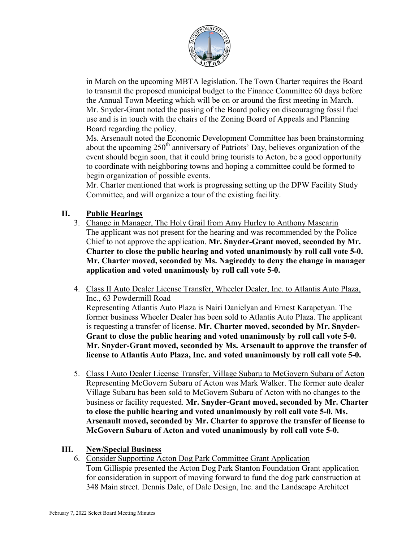

in March on the upcoming MBTA legislation. The Town Charter requires the Board to transmit the proposed municipal budget to the Finance Committee 60 days before the Annual Town Meeting which will be on or around the first meeting in March. Mr. Snyder-Grant noted the passing of the Board policy on discouraging fossil fuel use and is in touch with the chairs of the Zoning Board of Appeals and Planning Board regarding the policy.

Ms. Arsenault noted the Economic Development Committee has been brainstorming about the upcoming  $250<sup>th</sup>$  anniversary of Patriots' Day, believes organization of the event should begin soon, that it could bring tourists to Acton, be a good opportunity to coordinate with neighboring towns and hoping a committee could be formed to begin organization of possible events.

Mr. Charter mentioned that work is progressing setting up the DPW Facility Study Committee, and will organize a tour of the existing facility.

# **II. Public Hearings**

- 3. Change in Manager, The Holy Grail from Amy Hurley to Anthony Mascarin The applicant was not present for the hearing and was recommended by the Police Chief to not approve the application. **Mr. Snyder-Grant moved, seconded by Mr. Charter to close the public hearing and voted unanimously by roll call vote 5-0. Mr. Charter moved, seconded by Ms. Nagireddy to deny the change in manager application and voted unanimously by roll call vote 5-0.**
- 4. Class II Auto Dealer License Transfer, Wheeler Dealer, Inc. to Atlantis Auto Plaza, Inc., 63 Powdermill Road

Representing Atlantis Auto Plaza is Nairi Danielyan and Ernest Karapetyan. The former business Wheeler Dealer has been sold to Atlantis Auto Plaza. The applicant is requesting a transfer of license. **Mr. Charter moved, seconded by Mr. Snyder-Grant to close the public hearing and voted unanimously by roll call vote 5-0. Mr. Snyder-Grant moved, seconded by Ms. Arsenault to approve the transfer of license to Atlantis Auto Plaza, Inc. and voted unanimously by roll call vote 5-0.**

5. Class I Auto Dealer License Transfer, Village Subaru to McGovern Subaru of Acton Representing McGovern Subaru of Acton was Mark Walker. The former auto dealer Village Subaru has been sold to McGovern Subaru of Acton with no changes to the business or facility requested. **Mr. Snyder-Grant moved, seconded by Mr. Charter to close the public hearing and voted unanimously by roll call vote 5-0. Ms. Arsenault moved, seconded by Mr. Charter to approve the transfer of license to McGovern Subaru of Acton and voted unanimously by roll call vote 5-0.**

# **III. New/Special Business**

6. Consider Supporting Acton Dog Park Committee Grant Application Tom Gillispie presented the Acton Dog Park Stanton Foundation Grant application for consideration in support of moving forward to fund the dog park construction at 348 Main street. Dennis Dale, of Dale Design, Inc. and the Landscape Architect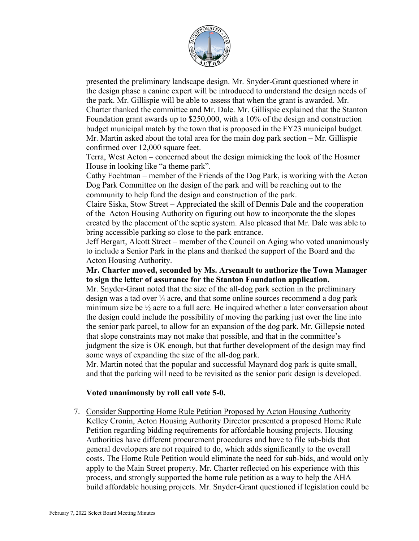

presented the preliminary landscape design. Mr. Snyder-Grant questioned where in the design phase a canine expert will be introduced to understand the design needs of the park. Mr. Gillispie will be able to assess that when the grant is awarded. Mr. Charter thanked the committee and Mr. Dale. Mr. Gillispie explained that the Stanton Foundation grant awards up to \$250,000, with a 10% of the design and construction budget municipal match by the town that is proposed in the FY23 municipal budget. Mr. Martin asked about the total area for the main dog park section – Mr. Gillispie confirmed over 12,000 square feet.

Terra, West Acton – concerned about the design mimicking the look of the Hosmer House in looking like "a theme park".

Cathy Fochtman – member of the Friends of the Dog Park, is working with the Acton Dog Park Committee on the design of the park and will be reaching out to the community to help fund the design and construction of the park.

Claire Siska, Stow Street – Appreciated the skill of Dennis Dale and the cooperation of the Acton Housing Authority on figuring out how to incorporate the the slopes created by the placement of the septic system. Also pleased that Mr. Dale was able to bring accessible parking so close to the park entrance.

Jeff Bergart, Alcott Street – member of the Council on Aging who voted unanimously to include a Senior Park in the plans and thanked the support of the Board and the Acton Housing Authority.

#### **Mr. Charter moved, seconded by Ms. Arsenault to authorize the Town Manager to sign the letter of assurance for the Stanton Foundation application.**

Mr. Snyder-Grant noted that the size of the all-dog park section in the preliminary design was a tad over  $\frac{1}{4}$  acre, and that some online sources recommend a dog park minimum size be  $\frac{1}{2}$  acre to a full acre. He inquired whether a later conversation about the design could include the possibility of moving the parking just over the line into the senior park parcel, to allow for an expansion of the dog park. Mr. Gillepsie noted that slope constraints may not make that possible, and that in the committee's judgment the size is OK enough, but that further development of the design may find some ways of expanding the size of the all-dog park.

Mr. Martin noted that the popular and successful Maynard dog park is quite small, and that the parking will need to be revisited as the senior park design is developed.

## **Voted unanimously by roll call vote 5-0.**

7. Consider Supporting Home Rule Petition Proposed by Acton Housing Authority Kelley Cronin, Acton Housing Authority Director presented a proposed Home Rule Petition regarding bidding requirements for affordable housing projects. Housing Authorities have different procurement procedures and have to file sub-bids that general developers are not required to do, which adds significantly to the overall costs. The Home Rule Petition would eliminate the need for sub-bids, and would only apply to the Main Street property. Mr. Charter reflected on his experience with this process, and strongly supported the home rule petition as a way to help the AHA build affordable housing projects. Mr. Snyder-Grant questioned if legislation could be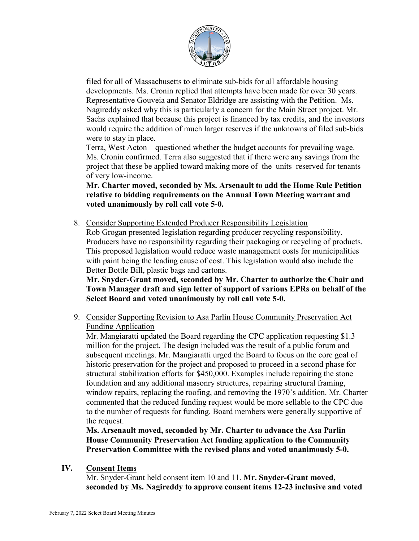

filed for all of Massachusetts to eliminate sub-bids for all affordable housing developments. Ms. Cronin replied that attempts have been made for over 30 years. Representative Gouveia and Senator Eldridge are assisting with the Petition. Ms. Nagireddy asked why this is particularly a concern for the Main Street project. Mr. Sachs explained that because this project is financed by tax credits, and the investors would require the addition of much larger reserves if the unknowns of filed sub-bids were to stay in place.

Terra, West Acton – questioned whether the budget accounts for prevailing wage. Ms. Cronin confirmed. Terra also suggested that if there were any savings from the project that these be applied toward making more of the units reserved for tenants of very low-income.

**Mr. Charter moved, seconded by Ms. Arsenault to add the Home Rule Petition relative to bidding requirements on the Annual Town Meeting warrant and voted unanimously by roll call vote 5-0.**

8. Consider Supporting Extended Producer Responsibility Legislation

Rob Grogan presented legislation regarding producer recycling responsibility. Producers have no responsibility regarding their packaging or recycling of products. This proposed legislation would reduce waste management costs for municipalities with paint being the leading cause of cost. This legislation would also include the Better Bottle Bill, plastic bags and cartons.

**Mr. Snyder-Grant moved, seconded by Mr. Charter to authorize the Chair and Town Manager draft and sign letter of support of various EPRs on behalf of the Select Board and voted unanimously by roll call vote 5-0.**

9. Consider Supporting Revision to Asa Parlin House Community Preservation Act Funding Application

Mr. Mangiaratti updated the Board regarding the CPC application requesting \$1.3 million for the project. The design included was the result of a public forum and subsequent meetings. Mr. Mangiaratti urged the Board to focus on the core goal of historic preservation for the project and proposed to proceed in a second phase for structural stabilization efforts for \$450,000. Examples include repairing the stone foundation and any additional masonry structures, repairing structural framing, window repairs, replacing the roofing, and removing the 1970's addition. Mr. Charter commented that the reduced funding request would be more sellable to the CPC due to the number of requests for funding. Board members were generally supportive of the request.

**Ms. Arsenault moved, seconded by Mr. Charter to advance the Asa Parlin House Community Preservation Act funding application to the Community Preservation Committee with the revised plans and voted unanimously 5-0.**

## **IV. Consent Items**

Mr. Snyder-Grant held consent item 10 and 11. **Mr. Snyder-Grant moved, seconded by Ms. Nagireddy to approve consent items 12-23 inclusive and voted**